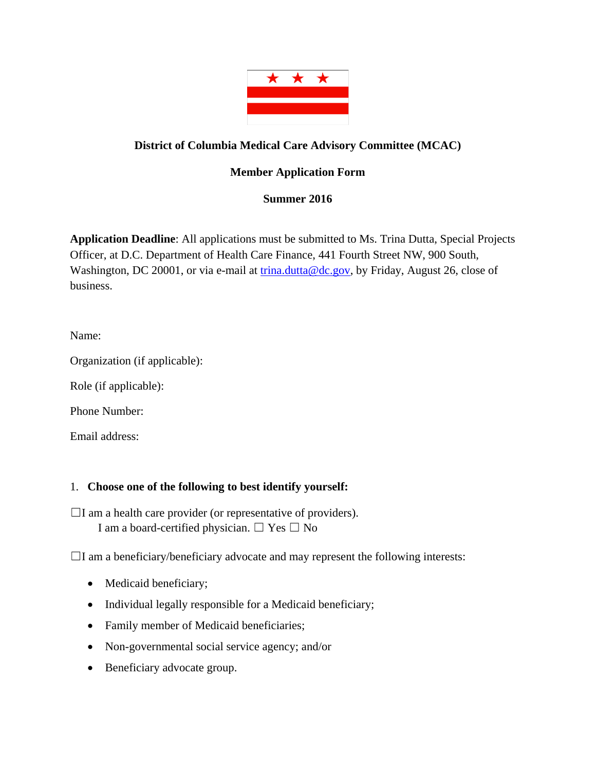

## **District of Columbia Medical Care Advisory Committee (MCAC)**

## **Member Application Form**

## **Summer 2016**

**Application Deadline**: All applications must be submitted to Ms. Trina Dutta, Special Projects Officer, at D.C. Department of Health Care Finance, 441 Fourth Street NW, 900 South, Washington, DC 20001, or via e-mail at trina.dutta@dc.gov, by Friday, August 26, close of business.

Name:

Organization (if applicable):

Role (if applicable):

Phone Number:

Email address:

## 1. **Choose one of the following to best identify yourself:**

 $\Box$ I am a health care provider (or representative of providers). I am a board-certified physician.  $\Box$  Yes  $\Box$  No

 $\Box$ I am a beneficiary/beneficiary advocate and may represent the following interests:

- Medicaid beneficiary;
- Individual legally responsible for a Medicaid beneficiary;
- Family member of Medicaid beneficiaries;
- Non-governmental social service agency; and/or
- Beneficiary advocate group.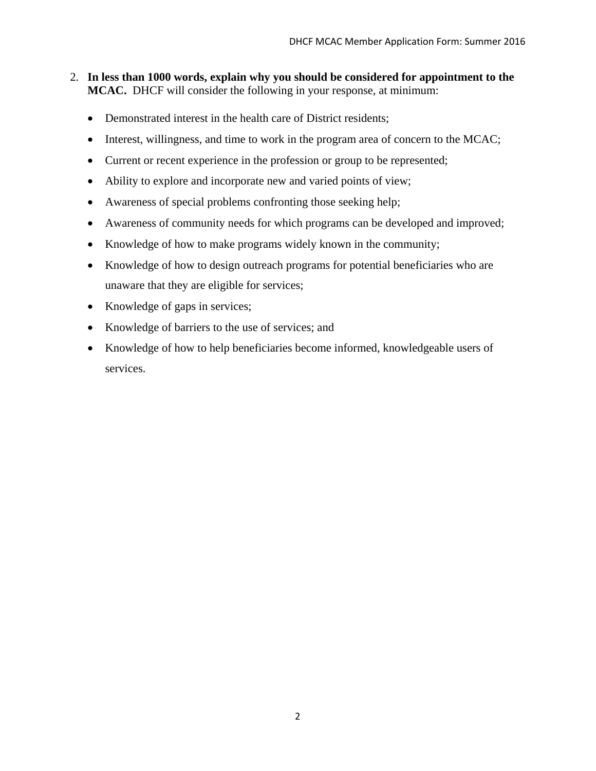- 2. **In less than 1000 words, explain why you should be considered for appointment to the MCAC.** DHCF will consider the following in your response, at minimum:
	- Demonstrated interest in the health care of District residents;
	- Interest, willingness, and time to work in the program area of concern to the MCAC;
	- Current or recent experience in the profession or group to be represented;
	- Ability to explore and incorporate new and varied points of view;
	- Awareness of special problems confronting those seeking help;
	- Awareness of community needs for which programs can be developed and improved;
	- Knowledge of how to make programs widely known in the community;
	- Knowledge of how to design outreach programs for potential beneficiaries who are unaware that they are eligible for services;
	- Knowledge of gaps in services;
	- Knowledge of barriers to the use of services; and
	- Knowledge of how to help beneficiaries become informed, knowledgeable users of services.